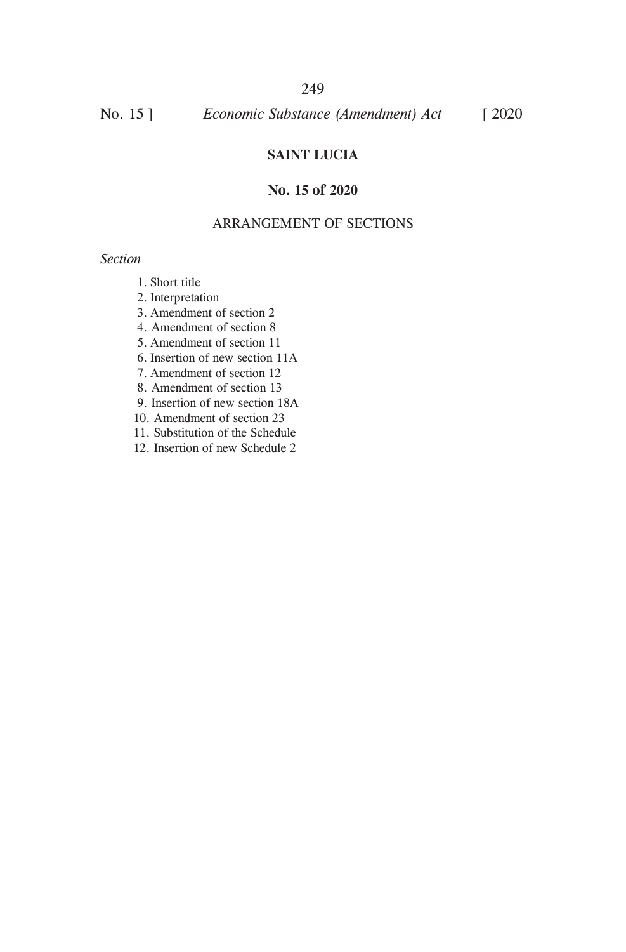## 249

No. 15 ] *Economic Substance (Amendment) Act* [ 2020

## **SAINT LUCIA**

## **No. 15 of 2020**

### ARRANGEMENT OF SECTIONS

#### *Section*

- 1. Short title
- 2. Interpretation
- 3. Amendment of section 2
- 4. Amendment of section 8
- 5. Amendment of section 11
- 6. Insertion of new section 11A
- 7. Amendment of section 12
- 8. Amendment of section 13
- 9. Insertion of new section 18A
- 10. Amendment of section 23
- 11. Substitution of the Schedule
- 12. Insertion of new Schedule 2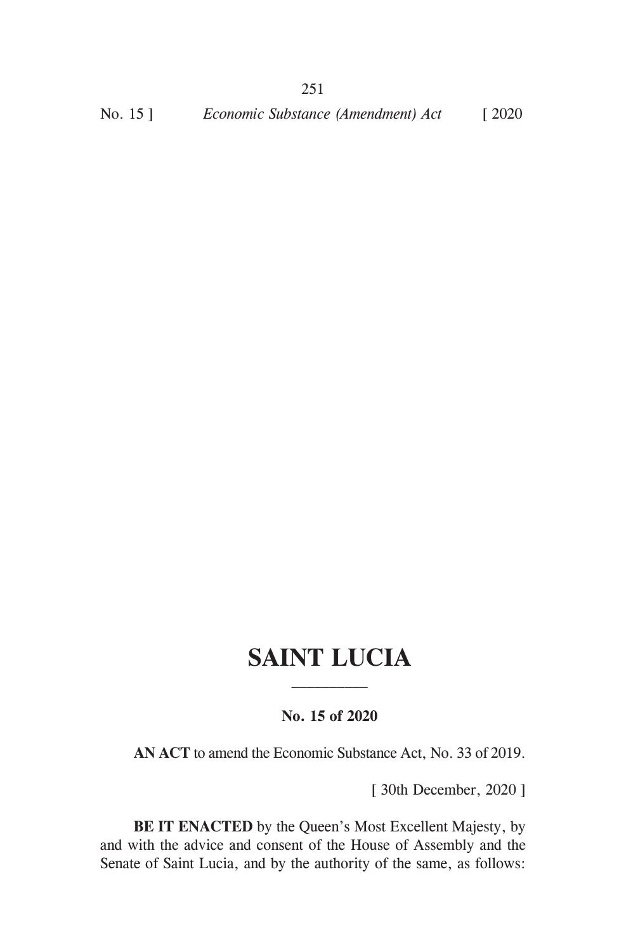# **SAINT LUCIA**

## **No. 15 of 2020**

**AN ACT** to amend the Economic Substance Act, No. 33 of 2019.

[ 30th December, 2020 ]

**BE IT ENACTED** by the Queen's Most Excellent Majesty, by and with the advice and consent of the House of Assembly and the Senate of Saint Lucia, and by the authority of the same, as follows: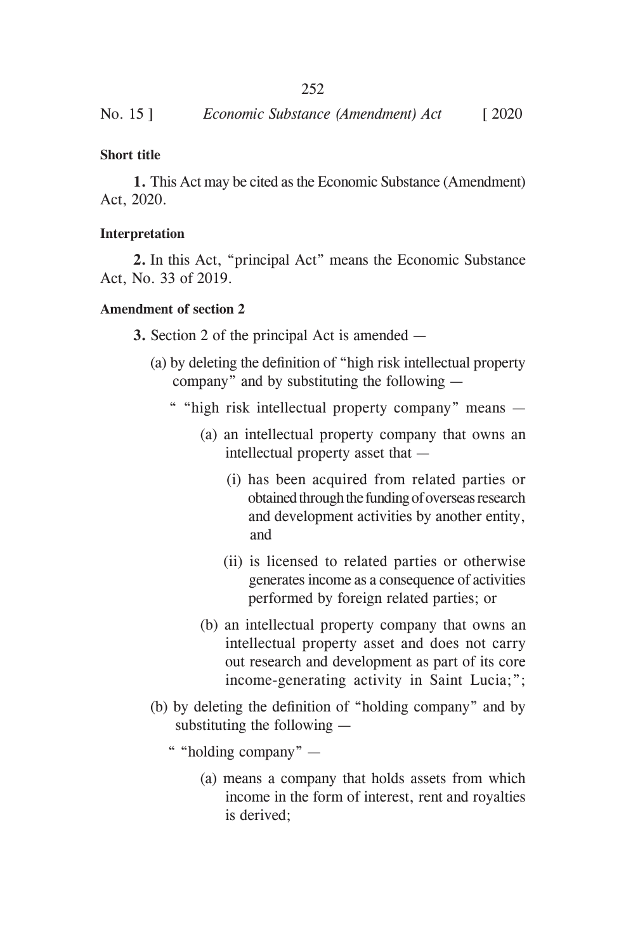## **Short title**

**1.** This Act may be cited as the Economic Substance (Amendment) Act, 2020.

#### **Interpretation**

**2.** In this Act, "principal Act" means the Economic Substance Act, No. 33 of 2019.

#### **Amendment of section 2**

**3.** Section 2 of the principal Act is amended —

- (a) by deleting the definition of "high risk intellectual property company" and by substituting the following —
	- " "high risk intellectual property company" means
		- (a) an intellectual property company that owns an intellectual property asset that —
			- (i) has been acquired from related parties or obtained through the funding of overseas research and development activities by another entity, and
			- (ii) is licensed to related parties or otherwise generates income as a consequence of activities performed by foreign related parties; or
		- (b) an intellectual property company that owns an intellectual property asset and does not carry out research and development as part of its core income-generating activity in Saint Lucia;";
- (b) by deleting the definition of "holding company" and by substituting the following —
	- " "holding company"
		- (a) means a company that holds assets from which income in the form of interest, rent and royalties is derived;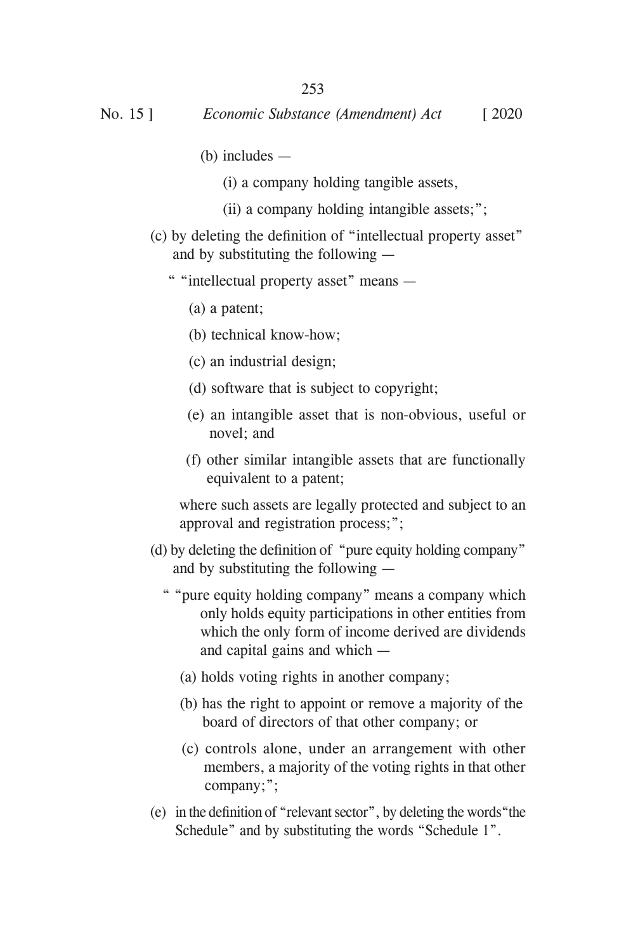- (b) includes
	- (i) a company holding tangible assets,
	- (ii) a company holding intangible assets;";
- (c) by deleting the definition of "intellectual property asset" and by substituting the following —
	- " "intellectual property asset" means
		- (a) a patent;
		- (b) technical know-how;
		- (c) an industrial design;
		- (d) software that is subject to copyright;
		- (e) an intangible asset that is non-obvious, useful or novel; and
		- (f) other similar intangible assets that are functionally equivalent to a patent;

 where such assets are legally protected and subject to an approval and registration process;";

- (d) by deleting the definition of "pure equity holding company" and by substituting the following —
	- " "pure equity holding company" means a company which only holds equity participations in other entities from which the only form of income derived are dividends and capital gains and which —
		- (a) holds voting rights in another company;
		- (b) has the right to appoint or remove a majority of the board of directors of that other company; or
		- (c) controls alone, under an arrangement with other members, a majority of the voting rights in that other company;";
- (e) in the definition of "relevant sector", by deleting the words "the Schedule" and by substituting the words "Schedule 1".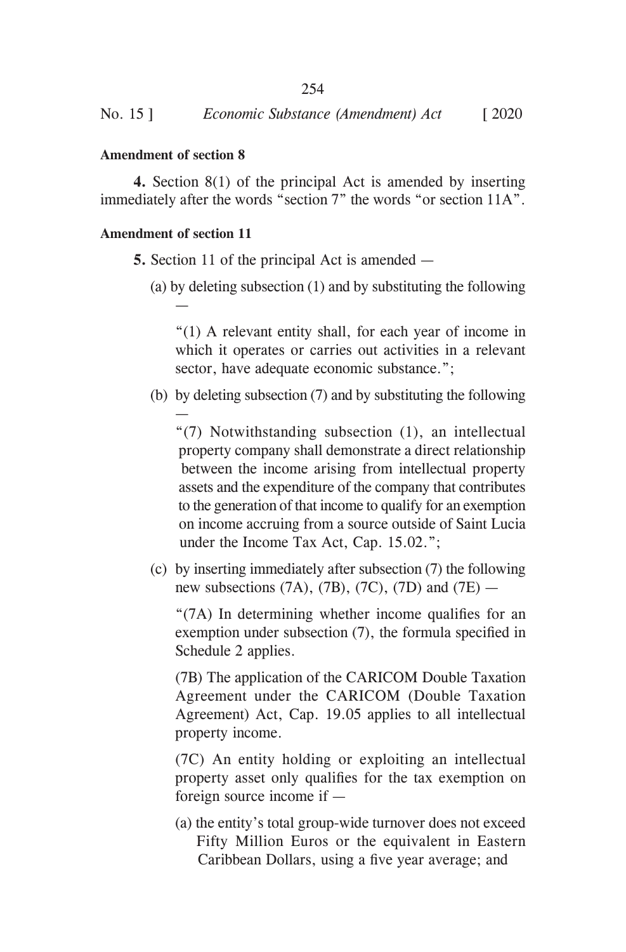## **Amendment of section 8**

**4.** Section 8(1) of the principal Act is amended by inserting immediately after the words "section 7" the words "or section 11A".

#### **Amendment of section 11**

—

—

- **5.** Section 11 of the principal Act is amended
	- (a) by deleting subsection (1) and by substituting the following

"(1) A relevant entity shall, for each year of income in which it operates or carries out activities in a relevant sector, have adequate economic substance.";

(b) by deleting subsection (7) and by substituting the following

"(7) Notwithstanding subsection (1), an intellectual property company shall demonstrate a direct relationship between the income arising from intellectual property assets and the expenditure of the company that contributes to the generation of that income to qualify for an exemption on income accruing from a source outside of Saint Lucia under the Income Tax Act, Cap. 15.02.";

(c) by inserting immediately after subsection (7) the following new subsections  $(7A)$ ,  $(7B)$ ,  $(7C)$ ,  $(7D)$  and  $(7E)$  —

 "(7A) In determining whether income qualifies for an exemption under subsection (7), the formula specified in Schedule 2 applies.

(7B) The application of the CARICOM Double Taxation Agreement under the CARICOM (Double Taxation Agreement) Act, Cap. 19.05 applies to all intellectual property income.

(7C) An entity holding or exploiting an intellectual property asset only qualifies for the tax exemption on foreign source income if —

(a) the entity's total group-wide turnover does not exceed Fifty Million Euros or the equivalent in Eastern Caribbean Dollars, using a five year average; and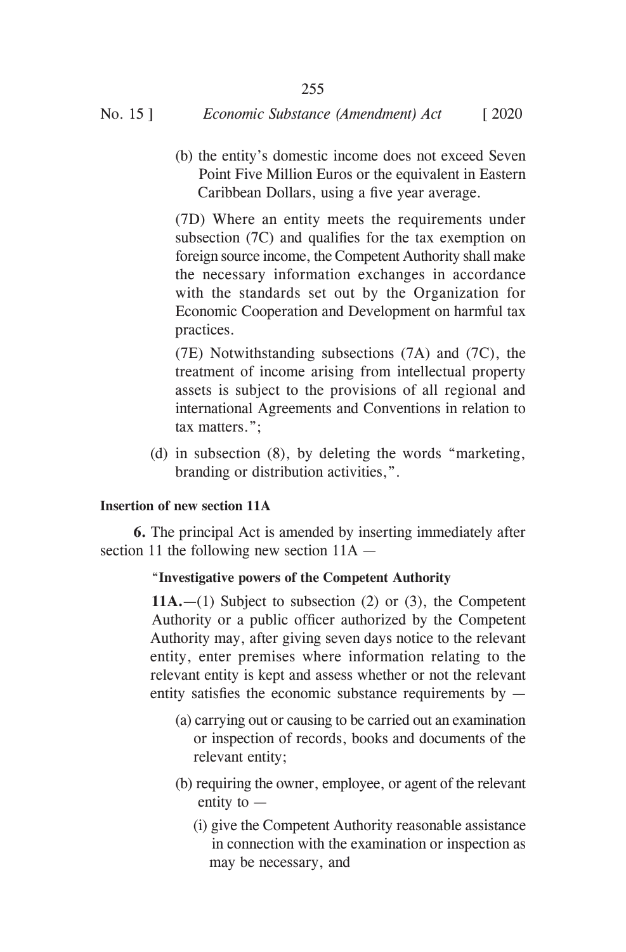(b) the entity's domestic income does not exceed Seven Point Five Million Euros or the equivalent in Eastern Caribbean Dollars, using a five year average.

(7D) Where an entity meets the requirements under subsection (7C) and qualifies for the tax exemption on foreign source income, the Competent Authority shall make the necessary information exchanges in accordance with the standards set out by the Organization for Economic Cooperation and Development on harmful tax practices.

(7E) Notwithstanding subsections (7A) and (7C), the treatment of income arising from intellectual property assets is subject to the provisions of all regional and international Agreements and Conventions in relation to tax matters.";

(d) in subsection  $(8)$ , by deleting the words "marketing, branding or distribution activities,".

## **Insertion of new section 11A**

**6.** The principal Act is amended by inserting immediately after section 11 the following new section 11A —

## "**Investigative powers of the Competent Authority**

 **11A.**—(1) Subject to subsection (2) or (3), the Competent Authority or a public officer authorized by the Competent Authority may, after giving seven days notice to the relevant entity, enter premises where information relating to the relevant entity is kept and assess whether or not the relevant entity satisfies the economic substance requirements by  $-$ 

- (a) carrying out or causing to be carried out an examination or inspection of records, books and documents of the relevant entity;
- (b) requiring the owner, employee, or agent of the relevant entity to —
	- (i) give the Competent Authority reasonable assistance in connection with the examination or inspection as may be necessary, and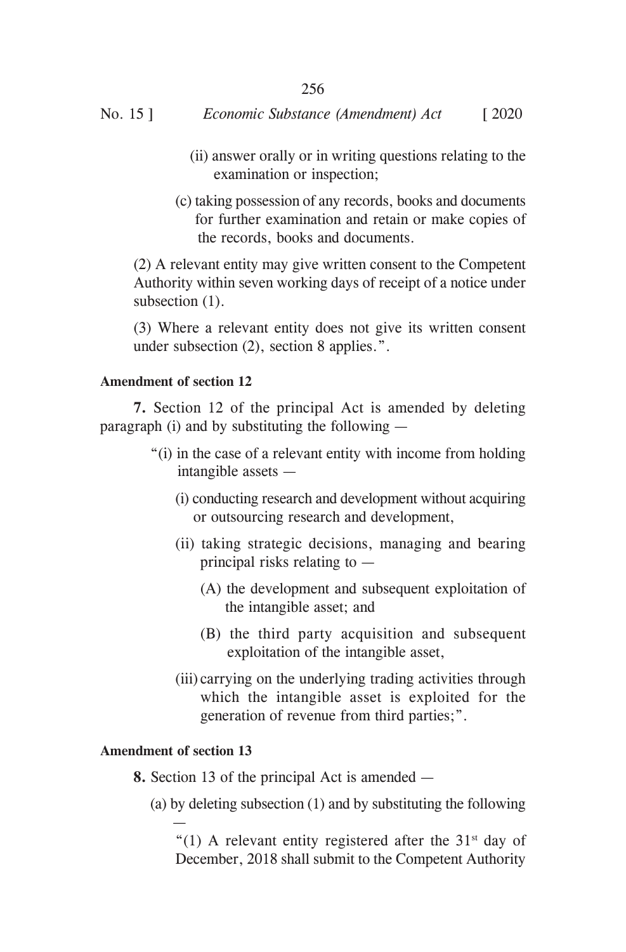- (ii) answer orally or in writing questions relating to the examination or inspection;
- (c) taking possession of any records, books and documents for further examination and retain or make copies of the records, books and documents.

(2) A relevant entity may give written consent to the Competent Authority within seven working days of receipt of a notice under subsection  $(1)$ .

(3) Where a relevant entity does not give its written consent under subsection (2), section 8 applies.".

## **Amendment of section 12**

**7.** Section 12 of the principal Act is amended by deleting paragraph (i) and by substituting the following —

- "(i) in the case of a relevant entity with income from holding intangible assets —
	- (i) conducting research and development without acquiring or outsourcing research and development,
	- (ii) taking strategic decisions, managing and bearing principal risks relating to —
		- (A) the development and subsequent exploitation of the intangible asset; and
		- (B) the third party acquisition and subsequent exploitation of the intangible asset,
	- (iii) carrying on the underlying trading activities through which the intangible asset is exploited for the generation of revenue from third parties;".

## **Amendment of section 13**

 $\mathcal{L} \rightarrow \mathcal{L}$ 

- **8.** Section 13 of the principal Act is amended
	- (a) by deleting subsection (1) and by substituting the following

"(1) A relevant entity registered after the  $31<sup>st</sup>$  day of December, 2018 shall submit to the Competent Authority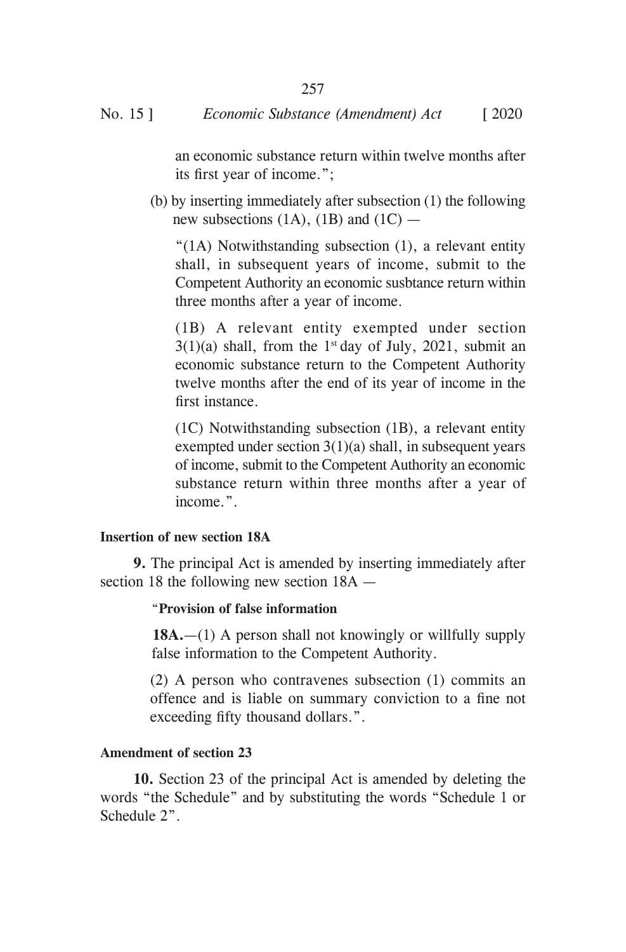an economic substance return within twelve months after its first year of income.";

(b) by inserting immediately after subsection (1) the following new subsections  $(1A)$ ,  $(1B)$  and  $(1C)$  —

"(1A) Notwithstanding subsection (1), a relevant entity shall, in subsequent years of income, submit to the Competent Authority an economic susbtance return within three months after a year of income.

(1B) A relevant entity exempted under section  $3(1)(a)$  shall, from the 1<sup>st</sup> day of July, 2021, submit an economic substance return to the Competent Authority twelve months after the end of its year of income in the first instance.

(1C) Notwithstanding subsection (1B), a relevant entity exempted under section  $3(1)(a)$  shall, in subsequent years of income, submit to the Competent Authority an economic substance return within three months after a year of income.".

#### **Insertion of new section 18A**

**9.** The principal Act is amended by inserting immediately after section 18 the following new section 18A —

#### "**Provision of false information**

 **18A.**—(1) A person shall not knowingly or willfully supply false information to the Competent Authority.

(2) A person who contravenes subsection (1) commits an offence and is liable on summary conviction to a fine not exceeding fifty thousand dollars.".

#### **Amendment of section 23**

**10.** Section 23 of the principal Act is amended by deleting the words "the Schedule" and by substituting the words "Schedule 1 or Schedule 2".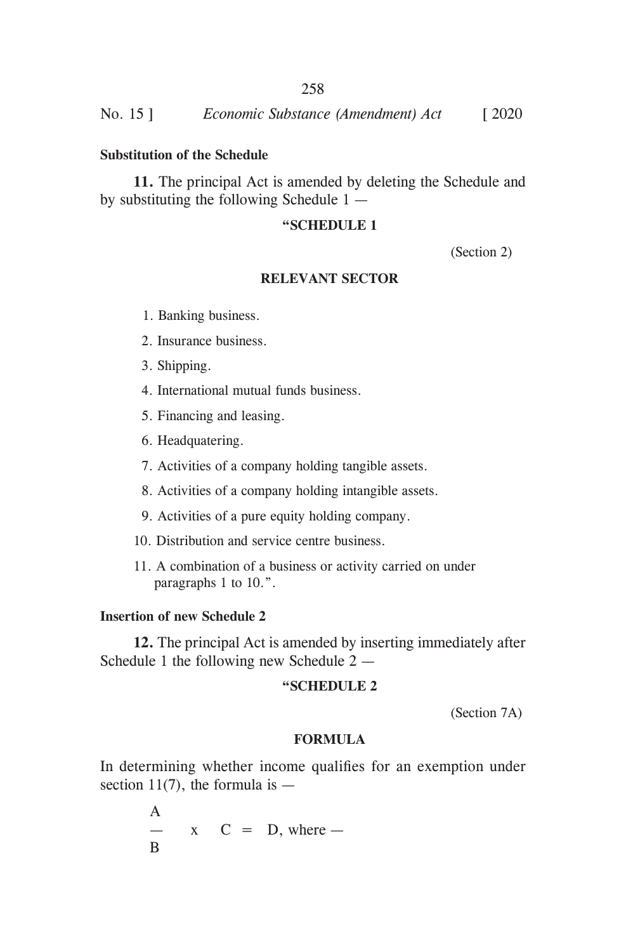## **Substitution of the Schedule**

**11.** The principal Act is amended by deleting the Schedule and by substituting the following Schedule 1 —

#### **"SCHEDULE 1**

(Section 2)

#### **RELEVANT SECTOR**

- 1. Banking business.
- 2. Insurance business.
- 3. Shipping.
- 4. International mutual funds business.
- 5. Financing and leasing.
- 6. Headquatering.
- 7. Activities of a company holding tangible assets.
- 8. Activities of a company holding intangible assets.
- 9. Activities of a pure equity holding company.
- 10. Distribution and service centre business.
- 11. A combination of a business or activity carried on under paragraphs 1 to 10.".

## **Insertion of new Schedule 2**

**12.** The principal Act is amended by inserting immediately after Schedule 1 the following new Schedule 2 —

#### **"SCHEDULE 2**

(Section 7A)

#### **FORMULA**

In determining whether income qualifies for an exemption under section 11(7), the formula is  $-$ 

> A  $- x C = D$ , where  $-$ B